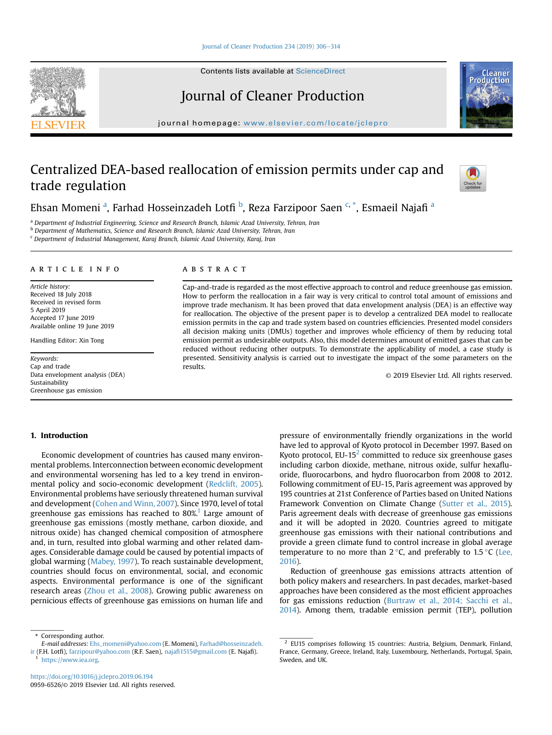Contents lists available at ScienceDirect

# Journal of Cleaner Production

journal homepage: [www.elsevier.com/locate/jclepro](http://www.elsevier.com/locate/jclepro)

[2016\)](#page-8-0).

# Centralized DEA-based reallocation of emission permits under cap and trade regulation

Ehsan Momeni <sup>a</sup>, Farhad Hosseinzadeh Lotfi <sup>b</sup>, Reza Farzipoor Saen <sup>c, \*</sup>, Esmaeil Najafi <sup>a</sup>

<sup>a</sup> Department of Industrial Engineering, Science and Research Branch, Islamic Azad University, Tehran, Iran

<sup>b</sup> Department of Mathematics, Science and Research Branch, Islamic Azad University, Tehran, Iran

<sup>c</sup> Department of Industrial Management, Karaj Branch, Islamic Azad University, Karaj, Iran

### article info

Article history: Received 18 July 2018 Received in revised form 5 April 2019 Accepted 17 June 2019 Available online 19 June 2019

Handling Editor: Xin Tong

Keywords: Cap and trade Data envelopment analysis (DEA) Sustainability Greenhouse gas emission

### **ABSTRACT**

Cap-and-trade is regarded as the most effective approach to control and reduce greenhouse gas emission. How to perform the reallocation in a fair way is very critical to control total amount of emissions and improve trade mechanism. It has been proved that data envelopment analysis (DEA) is an effective way for reallocation. The objective of the present paper is to develop a centralized DEA model to reallocate emission permits in the cap and trade system based on countries efficiencies. Presented model considers all decision making units (DMUs) together and improves whole efficiency of them by reducing total emission permit as undesirable outputs. Also, this model determines amount of emitted gases that can be reduced without reducing other outputs. To demonstrate the applicability of model, a case study is presented. Sensitivity analysis is carried out to investigate the impact of the some parameters on the results.

© 2019 Elsevier Ltd. All rights reserved.

## 1. Introduction

Economic development of countries has caused many environmental problems. Interconnection between economic development and environmental worsening has led to a key trend in environmental policy and socio-economic development ([Redclift, 2005\)](#page-8-0). Environmental problems have seriously threatened human survival and development [\(Cohen and Winn, 2007](#page-8-0)). Since 1970, level of total greenhouse gas emissions has reached to  $80\%$ <sup>1</sup>. Large amount of greenhouse gas emissions (mostly methane, carbon dioxide, and nitrous oxide) has changed chemical composition of atmosphere and, in turn, resulted into global warming and other related damages. Considerable damage could be caused by potential impacts of global warming ([Mabey, 1997](#page-8-0)). To reach sustainable development, countries should focus on environmental, social, and economic aspects. Environmental performance is one of the significant research areas [\(Zhou et al., 2008\)](#page-8-0). Growing public awareness on pernicious effects of greenhouse gas emissions on human life and

\* Corresponding author.

E-mail addresses: [Ehs\\_momeni@yahoo.com](mailto:Ehs_momeni@yahoo.com) (E. Momeni), [Farhad@hosseinzadeh.](mailto:Farhad@hosseinzadeh.ir) [ir](mailto:Farhad@hosseinzadeh.ir) (F.H. Lotfi), [farzipour@yahoo.com](mailto:farzipour@yahoo.com) (R.F. Saen), najafi[1515@gmail.com](mailto:najafi1515@gmail.com) (E. Najafi).

[https://www.iea.org.](https://www.iea.org)

## <sup>2</sup> EU15 comprises following 15 countries: Austria, Belgium, Denmark, Finland, France, Germany, Greece, Ireland, Italy, Luxembourg, Netherlands, Portugal, Spain, Sweden, and UK.

Reduction of greenhouse gas emissions attracts attention of both policy makers and researchers. In past decades, market-based approaches have been considered as the most efficient approaches for gas emissions reduction ([Burtraw et al., 2014; Sacchi et al.,](#page-8-0) [2014\)](#page-8-0). Among them, tradable emission permit (TEP), pollution

pressure of environmentally friendly organizations in the world have led to approval of Kyoto protocol in December 1997. Based on Kyoto protocol,  $EU-15<sup>2</sup>$  committed to reduce six greenhouse gases including carbon dioxide, methane, nitrous oxide, sulfur hexafluoride, fluorocarbons, and hydro fluorocarbon from 2008 to 2012. Following commitment of EU-15, Paris agreement was approved by 195 countries at 21st Conference of Parties based on United Nations Framework Convention on Climate Change [\(Sutter et al., 2015\)](#page-8-0). Paris agreement deals with decrease of greenhouse gas emissions and it will be adopted in 2020. Countries agreed to mitigate greenhouse gas emissions with their national contributions and provide a green climate fund to control increase in global average temperature to no more than  $2^{\circ}$ C, and preferably to 1.5  $\circ$ C [\(Lee,](#page-8-0)





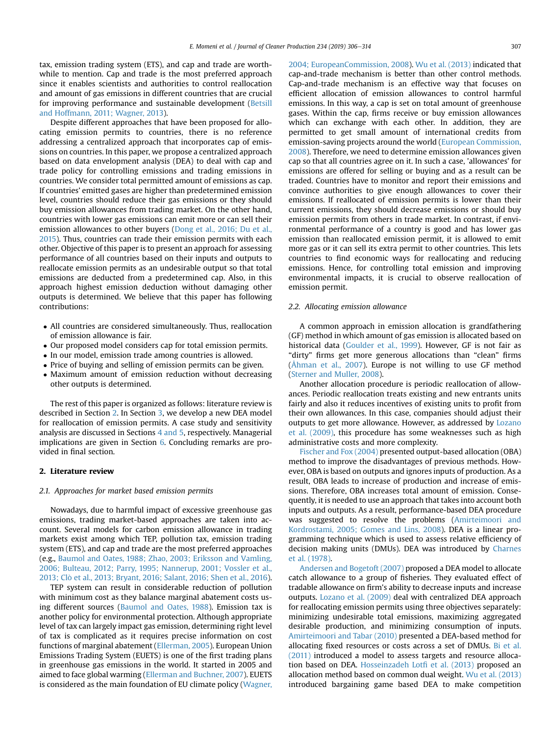tax, emission trading system (ETS), and cap and trade are worthwhile to mention. Cap and trade is the most preferred approach since it enables scientists and authorities to control reallocation and amount of gas emissions in different countries that are crucial for improving performance and sustainable development [\(Betsill](#page-7-0) [and Hoffmann, 2011; Wagner, 2013](#page-7-0)).

Despite different approaches that have been proposed for allocating emission permits to countries, there is no reference addressing a centralized approach that incorporates cap of emissions on countries. In this paper, we propose a centralized approach based on data envelopment analysis (DEA) to deal with cap and trade policy for controlling emissions and trading emissions in countries. We consider total permitted amount of emissions as cap. If countries' emitted gases are higher than predetermined emission level, countries should reduce their gas emissions or they should buy emission allowances from trading market. On the other hand, countries with lower gas emissions can emit more or can sell their emission allowances to other buyers ([Dong et al., 2016; Du et al.,](#page-8-0) [2015\)](#page-8-0). Thus, countries can trade their emission permits with each other. Objective of this paper is to present an approach for assessing performance of all countries based on their inputs and outputs to reallocate emission permits as an undesirable output so that total emissions are deducted from a predetermined cap. Also, in this approach highest emission deduction without damaging other outputs is determined. We believe that this paper has following contributions:

- All countries are considered simultaneously. Thus, reallocation of emission allowance is fair.
- Our proposed model considers cap for total emission permits.
- In our model, emission trade among countries is allowed.
- Price of buying and selling of emission permits can be given.<br>• Maximum amount of emission reduction without decreasin
- Maximum amount of emission reduction without decreasing other outputs is determined.

The rest of this paper is organized as follows: literature review is described in Section 2. In Section [3](#page-2-0), we develop a new DEA model for reallocation of emission permits. A case study and sensitivity analysis are discussed in Sections [4 and 5](#page-3-0), respectively. Managerial implications are given in Section [6](#page-5-0). Concluding remarks are provided in final section.

## 2. Literature review

## 2.1. Approaches for market based emission permits

Nowadays, due to harmful impact of excessive greenhouse gas emissions, trading market-based approaches are taken into account. Several models for carbon emission allowance in trading markets exist among which TEP, pollution tax, emission trading system (ETS), and cap and trade are the most preferred approaches (e.g., [Baumol and Oates, 1988; Zhao, 2003; Eriksson and Vamling,](#page-7-0) [2006; Bulteau, 2012; Parry, 1995; Nannerup, 2001; Vossler et al.,](#page-7-0) [2013; Cl](#page-7-0)ò [et al., 2013; Bryant, 2016; Salant, 2016; Shen et al., 2016](#page-7-0)).

TEP system can result in considerable reduction of pollution with minimum cost as they balance marginal abatement costs using different sources ([Baumol and Oates, 1988](#page-7-0)). Emission tax is another policy for environmental protection. Although appropriate level of tax can largely impact gas emission, determining right level of tax is complicated as it requires precise information on cost functions of marginal abatement [\(Ellerman, 2005](#page-8-0)). European Union Emissions Trading System (EUETS) is one of the first trading plans in greenhouse gas emissions in the world. It started in 2005 and aimed to face global warming [\(Ellerman and Buchner, 2007\)](#page-8-0). EUETS is considered as the main foundation of EU climate policy [\(Wagner,](#page-8-0) [2004; EuropeanCommission, 2008](#page-8-0)). [Wu et al. \(2013\)](#page-8-0) indicated that cap-and-trade mechanism is better than other control methods. Cap-and-trade mechanism is an effective way that focuses on efficient allocation of emission allowances to control harmful emissions. In this way, a cap is set on total amount of greenhouse gases. Within the cap, firms receive or buy emission allowances which can exchange with each other. In addition, they are permitted to get small amount of international credits from emission-saving projects around the world [\(European Commission,](#page-8-0) [2008\)](#page-8-0). Therefore, we need to determine emission allowances given cap so that all countries agree on it. In such a case, 'allowances' for emissions are offered for selling or buying and as a result can be traded. Countries have to monitor and report their emissions and convince authorities to give enough allowances to cover their emissions. If reallocated of emission permits is lower than their current emissions, they should decrease emissions or should buy emission permits from others in trade market. In contrast, if environmental performance of a country is good and has lower gas emission than reallocated emission permit, it is allowed to emit more gas or it can sell its extra permit to other countries. This lets countries to find economic ways for reallocating and reducing emissions. Hence, for controlling total emission and improving environmental impacts, it is crucial to observe reallocation of emission permit.

## 2.2. Allocating emission allowance

A common approach in emission allocation is grandfathering (GF) method in which amount of gas emission is allocated based on historical data [\(Goulder et al., 1999\)](#page-8-0). However, GF is not fair as "dirty" firms get more generous allocations than "clean" firms ([Åhman et al., 2007\)](#page-7-0). Europe is not willing to use GF method ([Sterner and Muller, 2008](#page-8-0)).

Another allocation procedure is periodic reallocation of allowances. Periodic reallocation treats existing and new entrants units fairly and also it reduces incentives of existing units to profit from their own allowances. In this case, companies should adjust their outputs to get more allowance. However, as addressed by [Lozano](#page-8-0) [et al. \(2009\),](#page-8-0) this procedure has some weaknesses such as high administrative costs and more complexity.

[Fischer and Fox \(2004\)](#page-8-0) presented output-based allocation (OBA) method to improve the disadvantages of previous methods. However, OBA is based on outputs and ignores inputs of production. As a result, OBA leads to increase of production and increase of emissions. Therefore, OBA increases total amount of emission. Consequently, it is needed to use an approach that takes into account both inputs and outputs. As a result, performance-based DEA procedure was suggested to resolve the problems [\(Amirteimoori and](#page-7-0) [Kordrostami, 2005; Gomes and Lins, 2008](#page-7-0)). DEA is a linear programming technique which is used to assess relative efficiency of decision making units (DMUs). DEA was introduced by [Charnes](#page-8-0) [et al. \(1978\).](#page-8-0)

[Andersen and Bogetoft \(2007\)](#page-7-0) proposed a DEA model to allocate catch allowance to a group of fisheries. They evaluated effect of tradable allowance on firm's ability to decrease inputs and increase outputs. [Lozano et al. \(2009\)](#page-8-0) deal with centralized DEA approach for reallocating emission permits using three objectives separately: minimizing undesirable total emissions, maximizing aggregated desirable production, and minimizing consumption of inputs. [Amirteimoori and Tabar \(2010\)](#page-7-0) presented a DEA-based method for allocating fixed resources or costs across a set of DMUs. [Bi et al.](#page-7-0) [\(2011\)](#page-7-0) introduced a model to assess targets and resource allocation based on DEA. [Hosseinzadeh Lot](#page-8-0)fi et al. (2013) proposed an allocation method based on common dual weight. [Wu et al. \(2013\)](#page-8-0) introduced bargaining game based DEA to make competition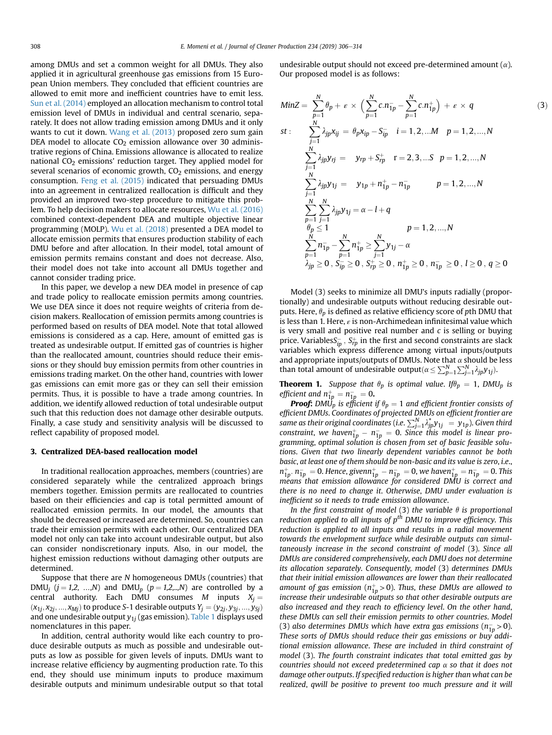<span id="page-2-0"></span>among DMUs and set a common weight for all DMUs. They also applied it in agricultural greenhouse gas emissions from 15 European Union members. They concluded that efficient countries are allowed to emit more and inefficient countries have to emit less. [Sun et al. \(2014\)](#page-8-0) employed an allocation mechanism to control total emission level of DMUs in individual and central scenario, separately. It does not allow trading emission among DMUs and it only wants to cut it down. [Wang et al. \(2013\)](#page-8-0) proposed zero sum gain DEA model to allocate  $CO<sub>2</sub>$  emission allowance over 30 administrative regions of China. Emissions allowance is allocated to realize national CO<sub>2</sub> emissions' reduction target. They applied model for several scenarios of economic growth,  $CO<sub>2</sub>$  emissions, and energy consumption. [Feng et al. \(2015\)](#page-8-0) indicated that persuading DMUs into an agreement in centralized reallocation is difficult and they provided an improved two-step procedure to mitigate this problem. To help decision makers to allocate resources, [Wu et al. \(2016\)](#page-8-0) combined context-dependent DEA and multiple objective linear programming (MOLP). [Wu et al. \(2018\)](#page-8-0) presented a DEA model to allocate emission permits that ensures production stability of each DMU before and after allocation. In their model, total amount of emission permits remains constant and does not decrease. Also, their model does not take into account all DMUs together and cannot consider trading price.

In this paper, we develop a new DEA model in presence of cap and trade policy to reallocate emission permits among countries. We use DEA since it does not require weights of criteria from decision makers. Reallocation of emission permits among countries is performed based on results of DEA model. Note that total allowed emissions is considered as a cap. Here, amount of emitted gas is treated as undesirable output. If emitted gas of countries is higher than the reallocated amount, countries should reduce their emissions or they should buy emission permits from other countries in emissions trading market. On the other hand, countries with lower gas emissions can emit more gas or they can sell their emission permits. Thus, it is possible to have a trade among countries. In addition, we identify allowed reduction of total undesirable output such that this reduction does not damage other desirable outputs. Finally, a case study and sensitivity analysis will be discussed to reflect capability of proposed model.

### 3. Centralized DEA-based reallocation model

In traditional reallocation approaches, members (countries) are considered separately while the centralized approach brings members together. Emission permits are reallocated to countries based on their efficiencies and cap is total permitted amount of reallocated emission permits. In our model, the amounts that should be decreased or increased are determined. So, countries can trade their emission permits with each other. Our centralized DEA model not only can take into account undesirable output, but also can consider nondiscretionary inputs. Also, in our model, the highest emission reductions without damaging other outputs are determined.

Suppose that there are N homogeneous DMUs (countries) that DMU<sub>i</sub>  $(j = 1,2, ..., N)$  and DMU<sub>p</sub>  $(p = 1,2,...,N)$  are controlled by a central authority. Each DMU consumes M inputs  $X_i =$  $(x_{1i}, x_{2i}, ..., x_{Mi})$  to produce S-1 desirable outputs  $Y_i = (y_{2i}, y_{3i}, ..., y_{Si})$ and one undesirable output  $y_{1i}$  (gas emission). [Table 1](#page-3-0) displays used nomenclatures in this paper.

In addition, central authority would like each country to produce desirable outputs as much as possible and undesirable outputs as low as possible for given levels of inputs. DMUs want to increase relative efficiency by augmenting production rate. To this end, they should use minimum inputs to produce maximum desirable outputs and minimum undesirable output so that total undesirable output should not exceed pre-determined amount  $(\alpha)$ . Our proposed model is as follows:

$$
\begin{array}{lll}\n\text{MinZ} &= \sum_{p=1}^{N} \theta_p + \varepsilon \times \Big( \sum_{p=1}^{N} c \cdot n_{1p}^- - \sum_{p=1}^{N} c \cdot n_{1p}^+ \Big) + \varepsilon \times q & (3) \\
\text{s.t:} & \sum_{j=1}^{N} \lambda_{jp} x_{ij} = \theta_p x_{ip} - S_{ip}^- & i = 1, 2, \dots, M \quad p = 1, 2, \dots, N \\
& \sum_{j=1}^{N} \lambda_{jp} y_{rj} = y_{rp} + S_{rp}^+ & r = 2, 3, \dots S \quad p = 1, 2, \dots, N \\
& \sum_{j=1}^{N} \lambda_{jp} y_{1j} = y_{1p} + n_{1p}^+ - n_{1p}^- & p = 1, 2, \dots, N \\
& \sum_{p=1}^{N} \sum_{j=1}^{N} \lambda_{jp} y_{1j} = \alpha - l + q & p = 1, 2, \dots, N \\
& \sum_{p=1}^{N} n_{1p}^- - \sum_{p=1}^{N} n_{1p}^+ \ge \sum_{j=1}^{N} y_{1j} - \alpha & \\
& \lambda_{jp} \ge 0 \,, S_{ip}^- \ge 0 \,, S_{rp}^+ \ge 0 \,, n_{1p}^+ \ge 0 \,, n_{1p}^- \ge 0 \,, l \ge 0 \,, q \ge 0\n\end{array}
$$
\n(3)

Model (3) seeks to minimize all DMU's inputs radially (proportionally) and undesirable outputs without reducing desirable outputs. Here,  $\theta_p$  is defined as relative efficiency score of pth DMU that is less than 1. Here,  $\varepsilon$  is non-Archimedean infinitesimal value which is very small and positive real number and  $c$  is selling or buying price. Variables $S_{ip}^-$ ,  $S_{rp}^+$  in the first and second constraints are slack variables which express difference among virtual inputs/outputs and appropriate inputs/outputs of DMUs. Note that  $\alpha$  should be less than total amount of undesirable output $(\alpha \leq \sum_{p=1}^{N} \sum_{j=1}^{N} \lambda_{jp} y_{1j}).$ 

**Theorem 1.** Suppose that  $\theta_p$  is optimal value. If  $\theta_p = 1$ , DMU<sub>p</sub> is efficient and  $n^+_{1p} = n^-_{1p} = 0$ .

**Proof:** DMU<sub>p</sub> is efficient if  $\theta_p = 1$  and efficient frontier consists of efficient DMUs. Coordinates of projected DMUs on efficient frontier are same as their original coordinates (i.e.  $\sum_{j=1}^{N} \lambda_{jp}^{*} y_{1j} = y_{1p}$ ). Given third constraint, we haven  $1_{p} - n_{1p}^{-} = 0$ . Since this model is linear programming, optimal solution is chosen from set of basic feasible solutions. Given that two linearly dependent variables cannot be both basic, at least one of them should be non-basic and its value is zero, i.e.,  $n_{1p}^+$   $n_{1p}^- = 0$ . Hence, given $n_{1p}^+ = n_{1p}^- = 0$ , we haven $n_{1p}^+ = n_{1p}^- = 0$ . This means that emission allowance for considered DMU is correct and there is no need to change it. Otherwise, DMU under evaluation is inefficient so it needs to trade emission allowance.

In the first constraint of model (3) the variable  $\theta$  is proportional reduction applied to all inputs of  $p^{th}$  DMU to improve efficiency. This reduction is applied to all inputs and results in a radial movement towards the envelopment surface while desirable outputs can simultaneously increase in the second constraint of model (3). Since all DMUs are considered comprehensively, each DMU does not determine its allocation separately. Consequently, model (3) determines DMUs that their initial emission allowances are lower than their reallocated amount of gas emission ( $n_{1p}^+>$ 0). Thus, these DMUs are allowed to increase their undesirable outputs so that other desirable outputs are also increased and they reach to efficiency level. On the other hand, these DMUs can sell their emission permits to other countries. Model (3) also determines DMUs which have extra gas emissions ( $n_{1p}^-$  > 0). These sorts of DMUs should reduce their gas emissions or buy additional emission allowance. These are included in third constraint of model (3). The fourth constraint indicates that total emitted gas by countries should not exceed predetermined cap  $\alpha$  so that it does not damage other outputs. If specified reduction is higher than what can be realized, qwill be positive to prevent too much pressure and it will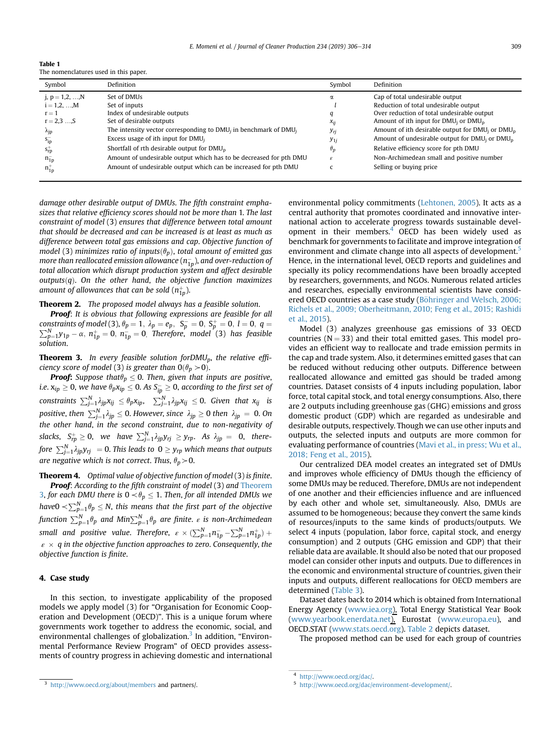<span id="page-3-0"></span>Table 1 The nomenclatures used in this paper.

| Symbol             | Definition                                                          | Symbol                | Definition                                                              |
|--------------------|---------------------------------------------------------------------|-----------------------|-------------------------------------------------------------------------|
| j, $p = 1, 2, , N$ | Set of DMUs                                                         |                       | Cap of total undesirable output                                         |
| $i = 1, 2, , M$    | Set of inputs                                                       |                       | Reduction of total undesirable output                                   |
| $r = 1$            | Index of undesirable outputs                                        |                       | Over reduction of total undesirable output                              |
| $r = 2.3$ , S      | Set of desirable outputs                                            | $x_{ii}$              | Amount of ith input for $DMU_i$ or $DMU_p$                              |
| $\lambda_{\rm ip}$ | The intensity vector corresponding to $DMUi$ in benchmark of $DMUi$ | $y_{ri}$              | Amount of ith desirable output for DMU <sub>i</sub> or DMU <sub>n</sub> |
| $S_{\text{ip}}^-$  | Excess usage of ith input for $DMUi$                                | $y_{1i}$              | Amount of undesirable output for $DMU_i$ or $DMU_n$                     |
| $S_{\Gamma D}^+$   | Shortfall of rth desirable output for $DMU_{p}$                     | $\theta_{\textit{D}}$ | Relative efficiency score for pth DMU                                   |
| $n_{1p}^-$         | Amount of undesirable output which has to be decreased for pth DMU  | £                     | Non-Archimedean small and positive number                               |
| $n_{1p}^+$         | Amount of undesirable output which can be increased for pth DMU     |                       | Selling or buying price                                                 |

damage other desirable output of DMUs. The fifth constraint emphasizes that relative efficiency scores should not be more than 1. The last constraint of model (3) ensures that difference between total amount that should be decreased and can be increased is at least as much as difference between total gas emissions and cap. Objective function of model (3) minimizes ratio of inputs( $\theta_p$ ), total amount of emitted gas more than reallocated emission allowance (n $_{\mathrm{1p}}$ ), and over-reduction of total allocation which disrupt production system and affect desirable outputs $(q)$ . On the other hand, the objective function maximizes amount of allowances that can be sold (n $_{1p}^+$ ).

Theorem 2. The proposed model always has a feasible solution.

Proof: It is obvious that following expressions are feasible for all constraints of model (3),  $\theta_p = 1$ ,  $\lambda_p = e_p$ ,  $S_p^- = 0$ ,  $S_p^+ = 0$ ,  $l = 0$ ,  $q = \sum_{p=1}^{N} y_{1p} - \alpha$ ,  $n_{1p}^+ = 0$ ,  $n_{1p}^- = 0$ . Therefore, model (3) has feasible solution.

**Theorem 3.** In every feasible solution for DMU<sub>p</sub>, the relative efficiency score of model (3) is greater than  $O(\theta_p > 0)$ .

**Proof:** Suppose that $\theta_p \leq 0$ . Then, given that inputs are positive, i.e.  $\mathrm{x}_{ip}\geq 0$ , we have  $\theta_p\mathrm{x}_{ip}\leq 0$ . As  $S^{-}_{ip}\geq 0$ , according to the first set of constraints  $\sum_{j=1}^N \lambda_{jp} x_{ij} \leq \theta_p x_{ip}$ ,  $\sum_{j=1}^N \lambda_{jp} x_{ij} \leq 0$ . Given that  $x_{ij}$  is positive, then  $\sum_{j=1}^N\lambda_{jp}\leq 0.$  However, since  $\lambda_{jp}\geq 0$  then  $\lambda_{jp}\,=\,0.$  On the other hand, in the second constraint, due to non-negativity of slacks,  $S_{rp}^+ \geq 0$ , we have  $\sum_{j=1}^{N} \lambda_{jp} y_{rj} \geq y_{rp}$ . As  $\lambda_{jp} = 0$ , therefore  $\sum_{j=1}^N \lambda_{jp} y_{rj} \ = 0.$  This leads to  $0 \ge y_{rp}$  which means that outputs are negative which is not correct. Thus,  $\theta_n > 0$ .

Theorem 4. Optimal value of objective function of model (3) is finite.

Proof: According to the fifth constraint of model (3) and Theorem 3, for each DMU there is  $0 < \theta_p \leq 1$ . Then, for all intended DMUs we have $0<\sum_{p=1}^N\theta_p\leq N$ , this means that the first part of the objective function  $\sum_{p=1}^N\theta_p$  and Min $\sum_{p=1}^N\theta_p$  are finite.  $\varepsilon$  is non-Archimedean small and positive value. Therefore,  $\varepsilon \times (\sum_{p=1}^{N} n_{1p}^- - \sum_{p=1}^{N} n_{1p}^+)$  +  $\epsilon \times q$  in the objective function approaches to zero. Consequently, the objective function is finite.

## 4. Case study

In this section, to investigate applicability of the proposed models we apply model (3) for "Organisation for Economic Cooperation and Development (OECD)". This is a unique forum where governments work together to address the economic, social, and environmental challenges of globalization. $3$  In addition, "Environmental Performance Review Program" of OECD provides assessments of country progress in achieving domestic and international environmental policy commitments [\(Lehtonen, 2005\)](#page-8-0). It acts as a central authority that promotes coordinated and innovative international action to accelerate progress towards sustainable development in their members. $4$  OECD has been widely used as benchmark for governments to facilitate and improve integration of environment and climate change into all aspects of development.<sup>5</sup> Hence, in the international level, OECD reports and guidelines and specially its policy recommendations have been broadly accepted by researchers, governments, and NGOs. Numerous related articles and researches, especially environmental scientists have considered OECD countries as a case study (Böhringer and Welsch, 2006; [Richels et al., 2009; Oberheitmann, 2010; Feng et al., 2015; Rashidi](#page-7-0) [et al., 2015](#page-7-0)).

Model (3) analyzes greenhouse gas emissions of 33 OECD countries  $(N = 33)$  and their total emitted gases. This model provides an efficient way to reallocate and trade emission permits in the cap and trade system. Also, it determines emitted gases that can be reduced without reducing other outputs. Difference between reallocated allowance and emitted gas should be traded among countries. Dataset consists of 4 inputs including population, labor force, total capital stock, and total energy consumptions. Also, there are 2 outputs including greenhouse gas (GHG) emissions and gross domestic product (GDP) which are regarded as undesirable and desirable outputs, respectively. Though we can use other inputs and outputs, the selected inputs and outputs are more common for evaluating performance of countries [\(Mavi et al., in press; Wu et al.,](#page-8-0) [2018; Feng et al., 2015](#page-8-0)).

Our centralized DEA model creates an integrated set of DMUs and improves whole efficiency of DMUs though the efficiency of some DMUs may be reduced. Therefore, DMUs are not independent of one another and their efficiencies influence and are influenced by each other and whole set, simultaneously. Also, DMUs are assumed to be homogeneous; because they convert the same kinds of resources/inputs to the same kinds of products/outputs. We select 4 inputs (population, labor force, capital stock, and energy consumption) and 2 outputs (GHG emission and GDP) that their reliable data are available. It should also be noted that our proposed model can consider other inputs and outputs. Due to differences in the economic and environmental structure of countries, given their inputs and outputs, different reallocations for OECD members are determined [\(Table 3](#page-5-0)).

Dataset dates back to 2014 which is obtained from International Energy Agency [\(www.iea.org\)](http://www.iea.org), Total Energy Statistical Year Book ([www.yearbook.enerdata.net\)](http://www.yearbook.enerdata.net), Eurostat ([www.europa.eu](http://www.europa.eu)), and OECD.STAT [\(www.stats.oecd.org\)](http://www.stats.oecd.org). [Table 2](#page-4-0) depicts dataset.

The proposed method can be used for each group of countries

<sup>4</sup> <http://www.oecd.org/dac/>.

<sup>5</sup> <http://www.oecd.org/dac/environment-development/>.

<sup>&</sup>lt;sup>3</sup> <http://www.oecd.org/about/members> and partners/.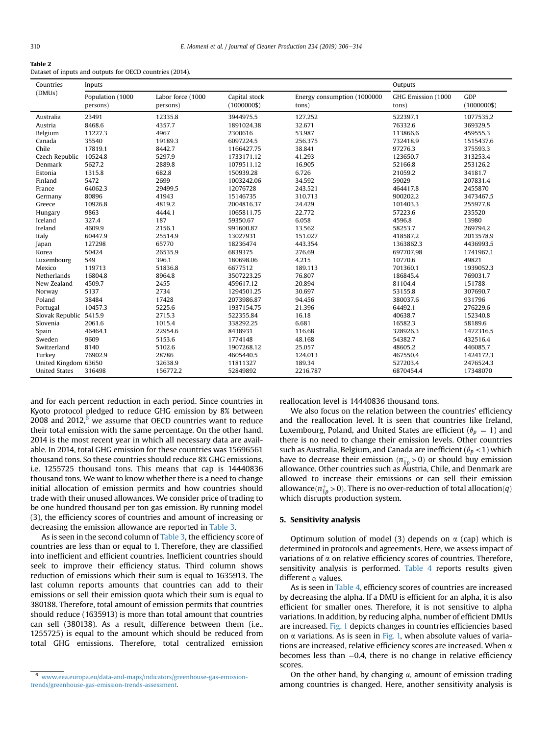#### <span id="page-4-0"></span>Table 2

Dataset of inputs and outputs for OECD countries (2014).

| Countries              | Inputs                       |                               | Outputs                      |                                      |                             |                    |
|------------------------|------------------------------|-------------------------------|------------------------------|--------------------------------------|-----------------------------|--------------------|
| (DMUs)                 | Population (1000<br>persons) | Labor force (1000<br>persons) | Capital stock<br>$(1000000\$ | Energy consumption (1000000<br>tons) | GHG Emission (1000<br>tons) | GDP<br>$(1000000\$ |
| Australia              | 23491                        | 12335.8                       | 3944975.5                    | 127.252                              | 522397.1                    | 1077535.2          |
| Austria                | 8468.6                       | 4357.7                        | 1891024.38                   | 32.671                               | 76332.6                     | 369329.5           |
| Belgium                | 11227.3                      | 4967                          | 2300616                      | 53.987                               | 113866.6                    | 459555.3           |
| Canada                 | 35540                        | 19189.3                       | 6097224.5                    | 256.375                              | 732418.9                    | 1515437.6          |
| Chile                  | 17819.1                      | 8442.7                        | 1166427.75                   | 38.841                               | 97276.3                     | 375593.3           |
| Czech Republic         | 10524.8                      | 5297.9                        | 1733171.12                   | 41.293                               | 123650.7                    | 313253.4           |
| Denmark                | 5627.2                       | 2889.8                        | 1079511.12                   | 16.905                               | 52166.8                     | 253126.2           |
| Estonia                | 1315.8                       | 682.8                         | 150939.28                    | 6.726                                | 21059.2                     | 34181.7            |
| Finland                | 5472                         | 2699                          | 1003242.06                   | 34.592                               | 59029                       | 207831.4           |
| France                 | 64062.3                      | 29499.5                       | 12076728                     | 243.521                              | 464417.8                    | 2455870            |
| Germany                | 80896                        | 41943                         | 15146735                     | 310.713                              | 900202.2                    | 3473467.5          |
| Greece                 | 10926.8                      | 4819.2                        | 2004816.37                   | 24.429                               | 101403.3                    | 255977.8           |
| Hungary                | 9863                         | 4444.1                        | 1065811.75                   | 22.772                               | 57223.6                     | 235520             |
| Iceland                | 327.4                        | 187                           | 59350.67                     | 6.058                                | 4596.8                      | 13980              |
| Ireland                | 4609.9                       | 2156.1                        | 991600.87                    | 13.562                               | 58253.7                     | 269794.2           |
| Italy                  | 60447.9                      | 25514.9                       | 13027931                     | 151.027                              | 418587.2                    | 2013578.9          |
| Japan                  | 127298                       | 65770                         | 18236474                     | 443.354                              | 1363862.3                   | 4436993.5          |
| Korea                  | 50424                        | 26535.9                       | 6839375                      | 276.69                               | 697707.98                   | 1741967.1          |
| Luxembourg             | 549                          | 396.1                         | 180698.06                    | 4.215                                | 10770.6                     | 49821              |
| Mexico                 | 119713                       | 51836.8                       | 6677512                      | 189.113                              | 701360.1                    | 1939052.3          |
| Netherlands            | 16804.8                      | 8964.8                        | 3507223.25                   | 76.807                               | 186845.4                    | 769031.7           |
| New Zealand            | 4509.7                       | 2455                          | 459617.12                    | 20.894                               | 81104.4                     | 151788             |
| Norway                 | 5137                         | 2734                          | 1294501.25                   | 30.697                               | 53155.8                     | 307690.7           |
| Poland                 | 38484                        | 17428                         | 2073986.87                   | 94.456                               | 380037.6                    | 931796             |
| Portugal               | 10457.3                      | 5225.6                        | 1937154.75                   | 21.396                               | 64492.1                     | 276229.6           |
| Slovak Republic 5415.9 |                              | 2715.3                        | 522355.84                    | 16.18                                | 40638.7                     | 152340.8           |
| Slovenia               | 2061.6                       | 1015.4                        | 338292.25                    | 6.681                                | 16582.3                     | 58189.6            |
| Spain                  | 46464.1                      | 22954.6                       | 8438931                      | 116.68                               | 328926.3                    | 1472316.5          |
| Sweden                 | 9609                         | 5153.6                        | 1774148                      | 48.168                               | 54382.7                     | 432516.4           |
| Switzerland            | 8140                         | 5102.6                        | 1907268.12                   | 25.057                               | 48605.2                     | 446085.7           |
| Turkey                 | 76902.9                      | 28786                         | 4605440.5                    | 124.013                              | 467550.4                    | 1424172.3          |
| United Kingdom 63650   |                              | 32638.9                       | 11811327                     | 189.34                               | 527203.4                    | 2476524.3          |
| <b>United States</b>   | 316498                       | 156772.2                      | 52849892                     | 2216.787                             | 6870454.4                   | 17348070           |

and for each percent reduction in each period. Since countries in Kyoto protocol pledged to reduce GHG emission by 8% between  $2008$  and  $2012$ ,  $6$  we assume that OECD countries want to reduce their total emission with the same percentage. On the other hand, 2014 is the most recent year in which all necessary data are available. In 2014, total GHG emission for these countries was 15696561 thousand tons. So these countries should reduce 8% GHG emissions, i.e. 1255725 thousand tons. This means that cap is 14440836 thousand tons. We want to know whether there is a need to change initial allocation of emission permits and how countries should trade with their unused allowances. We consider price of trading to be one hundred thousand per ton gas emission. By running model (3), the efficiency scores of countries and amount of increasing or decreasing the emission allowance are reported in [Table 3](#page-5-0).

As is seen in the second column of [Table 3,](#page-5-0) the efficiency score of countries are less than or equal to 1. Therefore, they are classified into inefficient and efficient countries. Inefficient countries should seek to improve their efficiency status. Third column shows reduction of emissions which their sum is equal to 1635913. The last column reports amounts that countries can add to their emissions or sell their emission quota which their sum is equal to 380188. Therefore, total amount of emission permits that countries should reduce (1635913) is more than total amount that countries can sell (380138). As a result, difference between them (i.e., 1255725) is equal to the amount which should be reduced from total GHG emissions. Therefore, total centralized emission reallocation level is 14440836 thousand tons.

We also focus on the relation between the countries' efficiency and the reallocation level. It is seen that countries like Ireland, Luxembourg, Poland, and United States are efficient ( $\theta_p = 1$ ) and there is no need to change their emission levels. Other countries such as Australia, Belgium, and Canada are inefficient ( $\theta_p$  < 1) which have to decrease their emission  $(n_{1p} > 0)$  or should buy emission allowance. Other countries such as Austria, Chile, and Denmark are allowed to increase their emissions or can sell their emission allowance $(n_{1p}^{\dagger} > 0)$ . There is no over-reduction of total allocation $(q)$ which disrupts production system.

## 5. Sensitivity analysis

Optimum solution of model (3) depends on  $\alpha$  (cap) which is determined in protocols and agreements. Here, we assess impact of variations of  $\alpha$  on relative efficiency scores of countries. Therefore, sensitivity analysis is performed. [Table 4](#page-6-0) reports results given different  $\alpha$  values.

As is seen in [Table 4,](#page-6-0) efficiency scores of countries are increased by decreasing the alpha. If a DMU is efficient for an alpha, it is also efficient for smaller ones. Therefore, it is not sensitive to alpha variations. In addition, by reducing alpha, number of efficient DMUs are increased. [Fig. 1](#page-6-0) depicts changes in countries efficiencies based on  $\alpha$  variations. As is seen in [Fig. 1,](#page-6-0) when absolute values of variations are increased, relative efficiency scores are increased. When a becomes less than  $-0.4$ , there is no change in relative efficiency scores.

On the other hand, by changing  $\alpha$ , amount of emission trading among countries is changed. Here, another sensitivity analysis is

<sup>6</sup> [www.eea.europa.eu/data-and-maps/indicators/greenhouse-gas-emission](http://www.eea.europa.eu/data-and-maps/indicators/greenhouse-gas-emission-trends/greenhouse-gas-emission-trends-assessment)[trends/greenhouse-gas-emission-trends-assessment.](http://www.eea.europa.eu/data-and-maps/indicators/greenhouse-gas-emission-trends/greenhouse-gas-emission-trends-assessment)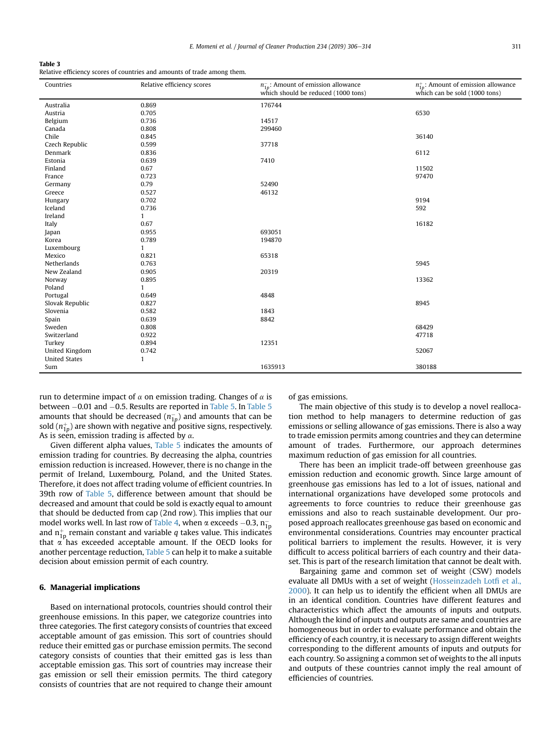#### <span id="page-5-0"></span>Table 3

Relative efficiency scores of countries and amounts of trade among them.

| Countries            | Relative efficiency scores | $n_{1n}^-$ : Amount of emission allowance<br>which should be reduced (1000 tons) | $n_{1n}^{+}$ : Amount of emission allowance<br>which can be sold (1000 tons) |
|----------------------|----------------------------|----------------------------------------------------------------------------------|------------------------------------------------------------------------------|
| Australia            | 0.869                      | 176744                                                                           |                                                                              |
| Austria              | 0.705                      |                                                                                  | 6530                                                                         |
| Belgium              | 0.736                      | 14517                                                                            |                                                                              |
| Canada               | 0.808                      | 299460                                                                           |                                                                              |
| Chile                | 0.845                      |                                                                                  | 36140                                                                        |
| Czech Republic       | 0.599                      | 37718                                                                            |                                                                              |
| Denmark              | 0.836                      |                                                                                  | 6112                                                                         |
| Estonia              | 0.639                      | 7410                                                                             |                                                                              |
| Finland              | 0.67                       |                                                                                  | 11502                                                                        |
| France               | 0.723                      |                                                                                  | 97470                                                                        |
| Germany              | 0.79                       | 52490                                                                            |                                                                              |
| Greece               | 0.527                      | 46132                                                                            |                                                                              |
| Hungary              | 0.702                      |                                                                                  | 9194                                                                         |
| Iceland              | 0.736                      |                                                                                  | 592                                                                          |
| Ireland              | $\mathbf{1}$               |                                                                                  |                                                                              |
| Italy                | 0.67                       |                                                                                  | 16182                                                                        |
| Japan                | 0.955                      | 693051                                                                           |                                                                              |
| Korea                | 0.789                      | 194870                                                                           |                                                                              |
| Luxembourg           | $\mathbf{1}$               |                                                                                  |                                                                              |
| Mexico               | 0.821                      | 65318                                                                            |                                                                              |
| Netherlands          | 0.763                      |                                                                                  | 5945                                                                         |
| New Zealand          | 0.905                      | 20319                                                                            |                                                                              |
| Norway               | 0.895                      |                                                                                  | 13362                                                                        |
| Poland               | $\mathbf{1}$               |                                                                                  |                                                                              |
| Portugal             | 0.649                      | 4848                                                                             |                                                                              |
| Slovak Republic      | 0.827                      |                                                                                  | 8945                                                                         |
| Slovenia             | 0.582                      | 1843                                                                             |                                                                              |
| Spain                | 0.639                      | 8842                                                                             |                                                                              |
| Sweden               | 0.808                      |                                                                                  | 68429                                                                        |
| Switzerland          | 0.922                      |                                                                                  | 47718                                                                        |
| Turkey               | 0.894                      | 12351                                                                            |                                                                              |
| United Kingdom       | 0.742                      |                                                                                  | 52067                                                                        |
| <b>United States</b> | 1                          |                                                                                  |                                                                              |
| Sum                  |                            | 1635913                                                                          | 380188                                                                       |

run to determine impact of  $\alpha$  on emission trading. Changes of  $\alpha$  is between  $-0.01$  and  $-0.5$ . Results are reported in [Table 5](#page-7-0). In Table 5 amounts that should be decreased  $(n_{1p}^-)$  and amounts that can be sold ( $n_{1p}^{\scriptscriptstyle +}$ ) are shown with negative and positive signs, respectively. As is seen, emission trading is affected by  $\alpha$ .

Given different alpha values, [Table 5](#page-7-0) indicates the amounts of emission trading for countries. By decreasing the alpha, countries emission reduction is increased. However, there is no change in the permit of Ireland, Luxembourg, Poland, and the United States. Therefore, it does not affect trading volume of efficient countries. In 39th row of [Table 5,](#page-7-0) difference between amount that should be decreased and amount that could be sold is exactly equal to amount that should be deducted from cap (2nd row). This implies that our model works well. In last row of [Table 4,](#page-6-0) when  $\alpha$  exceeds  $-0.3$ ,  $\rm n_{1p}^{-1}$ and  $\mathfrak{n}^+_{1\text{p}}$  remain constant and variable  $q$  takes value. This indicates that  $\alpha$  has exceeded acceptable amount. If the OECD looks for another percentage reduction, [Table 5](#page-7-0) can help it to make a suitable decision about emission permit of each country.

## 6. Managerial implications

Based on international protocols, countries should control their greenhouse emissions. In this paper, we categorize countries into three categories. The first category consists of countries that exceed acceptable amount of gas emission. This sort of countries should reduce their emitted gas or purchase emission permits. The second category consists of counties that their emitted gas is less than acceptable emission gas. This sort of countries may increase their gas emission or sell their emission permits. The third category consists of countries that are not required to change their amount of gas emissions.

The main objective of this study is to develop a novel reallocation method to help managers to determine reduction of gas emissions or selling allowance of gas emissions. There is also a way to trade emission permits among countries and they can determine amount of trades. Furthermore, our approach determines maximum reduction of gas emission for all countries.

There has been an implicit trade-off between greenhouse gas emission reduction and economic growth. Since large amount of greenhouse gas emissions has led to a lot of issues, national and international organizations have developed some protocols and agreements to force countries to reduce their greenhouse gas emissions and also to reach sustainable development. Our proposed approach reallocates greenhouse gas based on economic and environmental considerations. Countries may encounter practical political barriers to implement the results. However, it is very difficult to access political barriers of each country and their dataset. This is part of the research limitation that cannot be dealt with.

Bargaining game and common set of weight (CSW) models evaluate all DMUs with a set of weight [\(Hosseinzadeh Lot](#page-8-0)fi et al., [2000\)](#page-8-0). It can help us to identify the efficient when all DMUs are in an identical condition. Countries have different features and characteristics which affect the amounts of inputs and outputs. Although the kind of inputs and outputs are same and countries are homogeneous but in order to evaluate performance and obtain the efficiency of each country, it is necessary to assign different weights corresponding to the different amounts of inputs and outputs for each country. So assigning a common set of weights to the all inputs and outputs of these countries cannot imply the real amount of efficiencies of countries.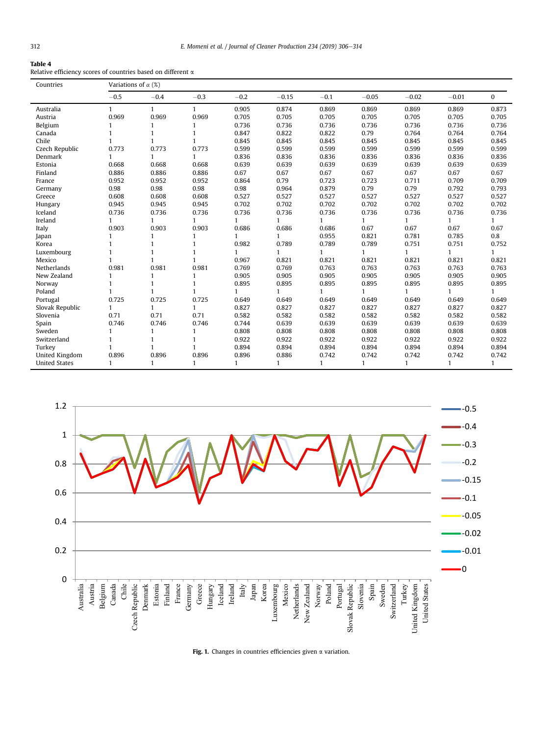## <span id="page-6-0"></span>Table 4

Relative efficiency scores of countries based on different  $\alpha$ 

| Countries            | Variations of $\alpha$ (%) |              |              |              |         |              |              |              |              |              |  |  |  |
|----------------------|----------------------------|--------------|--------------|--------------|---------|--------------|--------------|--------------|--------------|--------------|--|--|--|
|                      | $-0.5$                     | $-0.4$       | $-0.3$       | $-0.2$       | $-0.15$ | $-0.1$       | $-0.05$      | $-0.02$      | $-0.01$      | 0            |  |  |  |
| Australia            | $\mathbf{1}$               | $\mathbf{1}$ | $\mathbf{1}$ | 0.905        | 0.874   | 0.869        | 0.869        | 0.869        | 0.869        | 0.873        |  |  |  |
| Austria              | 0.969                      | 0.969        | 0.969        | 0.705        | 0.705   | 0.705        | 0.705        | 0.705        | 0.705        | 0.705        |  |  |  |
| Belgium              |                            |              |              | 0.736        | 0.736   | 0.736        | 0.736        | 0.736        | 0.736        | 0.736        |  |  |  |
| Canada               |                            | 1            |              | 0.847        | 0.822   | 0.822        | 0.79         | 0.764        | 0.764        | 0.764        |  |  |  |
| Chile                | 1                          | $\mathbf{1}$ |              | 0.845        | 0.845   | 0.845        | 0.845        | 0.845        | 0.845        | 0.845        |  |  |  |
| Czech Republic       | 0.773                      | 0.773        | 0.773        | 0.599        | 0.599   | 0.599        | 0.599        | 0.599        | 0.599        | 0.599        |  |  |  |
| Denmark              |                            | 1            | 1            | 0.836        | 0.836   | 0.836        | 0.836        | 0.836        | 0.836        | 0.836        |  |  |  |
| Estonia              | 0.668                      | 0.668        | 0.668        | 0.639        | 0.639   | 0.639        | 0.639        | 0.639        | 0.639        | 0.639        |  |  |  |
| Finland              | 0.886                      | 0.886        | 0.886        | 0.67         | 0.67    | 0.67         | 0.67         | 0.67         | 0.67         | 0.67         |  |  |  |
| France               | 0.952                      | 0.952        | 0.952        | 0.864        | 0.79    | 0.723        | 0.723        | 0.711        | 0.709        | 0.709        |  |  |  |
| Germany              | 0.98                       | 0.98         | 0.98         | 0.98         | 0.964   | 0.879        | 0.79         | 0.79         | 0.792        | 0.793        |  |  |  |
| Greece               | 0.608                      | 0.608        | 0.608        | 0.527        | 0.527   | 0.527        | 0.527        | 0.527        | 0.527        | 0.527        |  |  |  |
| Hungary              | 0.945                      | 0.945        | 0.945        | 0.702        | 0.702   | 0.702        | 0.702        | 0.702        | 0.702        | 0.702        |  |  |  |
| Iceland              | 0.736                      | 0.736        | 0.736        | 0.736        | 0.736   | 0.736        | 0.736        | 0.736        | 0.736        | 0.736        |  |  |  |
| Ireland              | 1                          | 1            | 1            | $\mathbf{1}$ | 1       | $\mathbf{1}$ | 1            | $\mathbf{1}$ | $\mathbf{1}$ | $\mathbf{1}$ |  |  |  |
| Italy                | 0.903                      | 0.903        | 0.903        | 0.686        | 0.686   | 0.686        | 0.67         | 0.67         | 0.67         | 0.67         |  |  |  |
| Japan                |                            | 1            | 1            | $\mathbf{1}$ | 1       | 0.955        | 0.821        | 0.781        | 0.785        | 0.8          |  |  |  |
| Korea                |                            |              |              | 0.982        | 0.789   | 0.789        | 0.789        | 0.751        | 0.751        | 0.752        |  |  |  |
| Luxembourg           |                            |              |              | $\mathbf{1}$ | 1       | $\mathbf{1}$ | 1            | $\mathbf{1}$ | $\mathbf{1}$ | $\mathbf{1}$ |  |  |  |
| Mexico               |                            |              |              | 0.967        | 0.821   | 0.821        | 0.821        | 0.821        | 0.821        | 0.821        |  |  |  |
| Netherlands          | 0.981                      | 0.981        | 0.981        | 0.769        | 0.769   | 0.763        | 0.763        | 0.763        | 0.763        | 0.763        |  |  |  |
| New Zealand          |                            | 1            | 1            | 0.905        | 0.905   | 0.905        | 0.905        | 0.905        | 0.905        | 0.905        |  |  |  |
| Norway               |                            |              |              | 0.895        | 0.895   | 0.895        | 0.895        | 0.895        | 0.895        | 0.895        |  |  |  |
| Poland               |                            | 1            |              | $\mathbf{1}$ |         | 1            | 1            | 1            | 1            | $\mathbf{1}$ |  |  |  |
| Portugal             | 0.725                      | 0.725        | 0.725        | 0.649        | 0.649   | 0.649        | 0.649        | 0.649        | 0.649        | 0.649        |  |  |  |
| Slovak Republic      | 1                          | $\mathbf{1}$ | $\mathbf{1}$ | 0.827        | 0.827   | 0.827        | 0.827        | 0.827        | 0.827        | 0.827        |  |  |  |
| Slovenia             | 0.71                       | 0.71         | 0.71         | 0.582        | 0.582   | 0.582        | 0.582        | 0.582        | 0.582        | 0.582        |  |  |  |
| Spain                | 0.746                      | 0.746        | 0.746        | 0.744        | 0.639   | 0.639        | 0.639        | 0.639        | 0.639        | 0.639        |  |  |  |
| Sweden               |                            | 1            | $\mathbf{1}$ | 0.808        | 0.808   | 0.808        | 0.808        | 0.808        | 0.808        | 0.808        |  |  |  |
| Switzerland          | 1                          |              |              | 0.922        | 0.922   | 0.922        | 0.922        | 0.922        | 0.922        | 0.922        |  |  |  |
| Turkey               | 1                          | 1            |              | 0.894        | 0.894   | 0.894        | 0.894        | 0.894        | 0.894        | 0.894        |  |  |  |
| United Kingdom       | 0.896                      | 0.896        | 0.896        | 0.896        | 0.886   | 0.742        | 0.742        | 0.742        | 0.742        | 0.742        |  |  |  |
| <b>United States</b> | $\mathbf{1}$               | $\mathbf{1}$ | $\mathbf{1}$ | $\mathbf{1}$ | 1       | 1            | $\mathbf{1}$ | $\mathbf{1}$ | $\mathbf{1}$ | $\mathbf{1}$ |  |  |  |



Fig. 1. Changes in countries efficiencies given  $\alpha$  variation.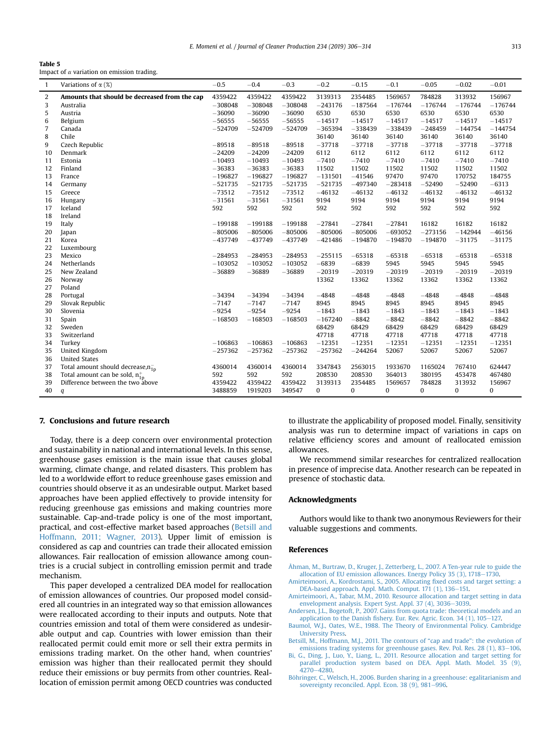<span id="page-7-0"></span>

| Table 5                                  |  |  |
|------------------------------------------|--|--|
| Impact of $\alpha$ variation on emission |  |  |

trading.

| $\mathbf{1}$ | Variations of $\alpha$ (%)                    | $-0.5$    | $-0.4$    | $-0.3$    | $-0.2$    | $-0.15$      | $-0.1$    | $-0.05$   | $-0.02$   | $-0.01$   |
|--------------|-----------------------------------------------|-----------|-----------|-----------|-----------|--------------|-----------|-----------|-----------|-----------|
| 2            | Amounts that should be decreased from the cap | 4359422   | 4359422   | 4359422   | 3139313   | 2354485      | 1569657   | 784828    | 313932    | 156967    |
| 3            | Australia                                     | $-308048$ | $-308048$ | $-308048$ | $-243176$ | $-187564$    | $-176744$ | $-176744$ | $-176744$ | $-176744$ |
| 5            | Austria                                       | $-36090$  | $-36090$  | $-36090$  | 6530      | 6530         | 6530      | 6530      | 6530      | 6530      |
| 6            | Belgium                                       | $-56555$  | $-56555$  | $-56555$  | $-14517$  | $-14517$     | $-14517$  | $-14517$  | $-14517$  | $-14517$  |
| 7            | Canada                                        | $-524709$ | $-524709$ | $-524709$ | $-365394$ | $-338439$    | $-338439$ | $-248459$ | $-144754$ | $-144754$ |
| 8            | Chile                                         |           |           |           | 36140     | 36140        | 36140     | 36140     | 36140     | 36140     |
| 9            | Czech Republic                                | $-89518$  | $-89518$  | $-89518$  | $-37718$  | $-37718$     | $-37718$  | $-37718$  | $-37718$  | $-37718$  |
| 10           | Denmark                                       | $-24209$  | $-24209$  | $-24209$  | 6112      | 6112         | 6112      | 6112      | 6112      | 6112      |
| 11           | Estonia                                       | $-10493$  | $-10493$  | $-10493$  | $-7410$   | $-7410$      | $-7410$   | $-7410$   | $-7410$   | $-7410$   |
| 12           | Finland                                       | $-36383$  | $-36383$  | $-36383$  | 11502     | 11502        | 11502     | 11502     | 11502     | 11502     |
| 13           | France                                        | $-196827$ | $-196827$ | $-196827$ | $-131501$ | $-41546$     | 97470     | 97470     | 170752    | 184755    |
| 14           | Germany                                       | $-521735$ | $-521735$ | $-521735$ | $-521735$ | $-497340$    | $-283418$ | $-52490$  | $-52490$  | $-6313$   |
| 15           | Greece                                        | $-73512$  | $-73512$  | $-73512$  | $-46132$  | $-46132$     | $-46132$  | $-46132$  | $-46132$  | $-46132$  |
| 16           | Hungary                                       | $-31561$  | $-31561$  | $-31561$  | 9194      | 9194         | 9194      | 9194      | 9194      | 9194      |
| 17           | Iceland                                       | 592       | 592       | 592       | 592       | 592          | 592       | 592       | 592       | 592       |
| 18           | Ireland                                       |           |           |           |           |              |           |           |           |           |
| 19           | Italy                                         | $-199188$ | $-199188$ | $-199188$ | $-27841$  | $-27841$     | $-27841$  | 16182     | 16182     | 16182     |
| 20           | Japan                                         | $-805006$ | $-805006$ | $-805006$ | $-805006$ | $-805006$    | $-693052$ | $-273156$ | $-142944$ | $-46156$  |
| 21           | Korea                                         | $-437749$ | $-437749$ | $-437749$ | $-421486$ | $-194870$    | $-194870$ | $-194870$ | $-31175$  | $-31175$  |
| 22           | Luxembourg                                    |           |           |           |           |              |           |           |           |           |
| 23           | Mexico                                        | $-284953$ | $-284953$ | $-284953$ | $-255115$ | $-65318$     | $-65318$  | $-65318$  | $-65318$  | $-65318$  |
| 24           | Netherlands                                   | $-103052$ | $-103052$ | $-103052$ | $-6839$   | $-6839$      | 5945      | 5945      | 5945      | 5945      |
| 25           | New Zealand                                   | $-36889$  | $-36889$  | $-36889$  | $-20319$  | $-20319$     | $-20319$  | $-20319$  | $-20319$  | $-20319$  |
| 26           | Norway                                        |           |           |           | 13362     | 13362        | 13362     | 13362     | 13362     | 13362     |
| 27           | Poland                                        |           |           |           |           |              |           |           |           |           |
| 28           | Portugal                                      | $-34394$  | $-34394$  | $-34394$  | $-4848$   | $-4848$      | $-4848$   | $-4848$   | $-4848$   | $-4848$   |
| 29           | Slovak Republic                               | $-7147$   | $-7147$   | $-7147$   | 8945      | 8945         | 8945      | 8945      | 8945      | 8945      |
| 30           | Slovenia                                      | $-9254$   | $-9254$   | $-9254$   | $-1843$   | $-1843$      | $-1843$   | $-1843$   | $-1843$   | $-1843$   |
| 31           | Spain                                         | $-168503$ | $-168503$ | $-168503$ | $-167240$ | $-8842$      | $-8842$   | $-8842$   | $-8842$   | $-8842$   |
| 32           | Sweden                                        |           |           |           | 68429     | 68429        | 68429     | 68429     | 68429     | 68429     |
| 33           | Switzerland                                   |           |           |           | 47718     | 47718        | 47718     | 47718     | 47718     | 47718     |
| 34           | Turkey                                        | $-106863$ | $-106863$ | $-106863$ | $-12351$  | $-12351$     | $-12351$  | $-12351$  | $-12351$  | $-12351$  |
| 35           | United Kingdom                                | $-257362$ | $-257362$ | $-257362$ | $-257362$ | $-244264$    | 52067     | 52067     | 52067     | 52067     |
| 36           | <b>United States</b>                          |           |           |           |           |              |           |           |           |           |
| 37           | Total amount should decrease, $n_{1p}^-$      | 4360014   | 4360014   | 4360014   | 3347843   | 2563015      | 1933670   | 1165024   | 767410    | 624447    |
| 38           | Total amount can be sold, $n_{1p}^+$          | 592       | 592       | 592       | 208530    | 208530       | 364013    | 380195    | 453478    | 467480    |
| 39           | Difference between the two above              | 4359422   | 4359422   | 4359422   | 3139313   | 2354485      | 1569657   | 784828    | 313932    | 156967    |
| 40           | q                                             | 3488859   | 1919203   | 349547    | 0         | $\mathbf{0}$ | 0         | 0         | $\bf{0}$  | 0         |

## 7. Conclusions and future research

Today, there is a deep concern over environmental protection and sustainability in national and international levels. In this sense, greenhouse gases emission is the main issue that causes global warming, climate change, and related disasters. This problem has led to a worldwide effort to reduce greenhouse gases emission and countries should observe it as an undesirable output. Market based approaches have been applied effectively to provide intensity for reducing greenhouse gas emissions and making countries more sustainable. Cap-and-trade policy is one of the most important, practical, and cost-effective market based approaches (Betsill and Hoffmann, 2011; Wagner, 2013). Upper limit of emission is considered as cap and countries can trade their allocated emission allowances. Fair reallocation of emission allowance among countries is a crucial subject in controlling emission permit and trade mechanism.

This paper developed a centralized DEA model for reallocation of emission allowances of countries. Our proposed model considered all countries in an integrated way so that emission allowances were reallocated according to their inputs and outputs. Note that countries emission and total of them were considered as undesirable output and cap. Countries with lower emission than their reallocated permit could emit more or sell their extra permits in emissions trading market. On the other hand, when countries' emission was higher than their reallocated permit they should reduce their emissions or buy permits from other countries. Reallocation of emission permit among OECD countries was conducted

to illustrate the applicability of proposed model. Finally, sensitivity analysis was run to determine impact of variations in caps on relative efficiency scores and amount of reallocated emission allowances.

We recommend similar researches for centralized reallocation in presence of imprecise data. Another research can be repeated in presence of stochastic data.

## Acknowledgments

Authors would like to thank two anonymous Reviewers for their valuable suggestions and comments.

## References

[Åhman, M., Burtraw, D., Kruger, J., Zetterberg, L., 2007. A Ten-year rule to guide the](http://refhub.elsevier.com/S0959-6526(19)32156-0/sref1) [allocation of EU emission allowances. Energy Policy 35 \(3\), 1718](http://refhub.elsevier.com/S0959-6526(19)32156-0/sref1)–[1730](http://refhub.elsevier.com/S0959-6526(19)32156-0/sref1).<br>[Amirteimoori, A., Kordrostami, S., 2005. Allocating](http://refhub.elsevier.com/S0959-6526(19)32156-0/sref2) fixed costs and target setting: a

- [DEA-based approach. Appl. Math. Comput. 171 \(1\), 136](http://refhub.elsevier.com/S0959-6526(19)32156-0/sref2)-[151.](http://refhub.elsevier.com/S0959-6526(19)32156-0/sref2)
- [Amirteimoori, A., Tabar, M.M., 2010. Resource allocation and target setting in data](http://refhub.elsevier.com/S0959-6526(19)32156-0/sref3) [envelopment analysis. Expert Syst. Appl. 37 \(4\), 3036](http://refhub.elsevier.com/S0959-6526(19)32156-0/sref3)-[3039.](http://refhub.elsevier.com/S0959-6526(19)32156-0/sref3)
- [Andersen, J.L., Bogetoft, P., 2007. Gains from quota trade: theoretical models and an](http://refhub.elsevier.com/S0959-6526(19)32156-0/sref4) application to the Danish fi[shery. Eur. Rev. Agric. Econ. 34 \(1\), 105](http://refhub.elsevier.com/S0959-6526(19)32156-0/sref4)-[127.](http://refhub.elsevier.com/S0959-6526(19)32156-0/sref4)
- [Baumol, W.J., Oates, W.E., 1988. The Theory of Environmental Policy. Cambridge](http://refhub.elsevier.com/S0959-6526(19)32156-0/sref6) [University Press](http://refhub.elsevier.com/S0959-6526(19)32156-0/sref6).
- [Betsill, M., Hoffmann, M.J., 2011. The contours of](http://refhub.elsevier.com/S0959-6526(19)32156-0/sref7) "cap and trade": the evolution of [emissions trading systems for greenhouse gases. Rev. Pol. Res. 28 \(1\), 83](http://refhub.elsevier.com/S0959-6526(19)32156-0/sref7)-[106.](http://refhub.elsevier.com/S0959-6526(19)32156-0/sref7)
- [Bi, G., Ding, J., Luo, Y., Liang, L., 2011. Resource allocation and target setting for](http://refhub.elsevier.com/S0959-6526(19)32156-0/sref8) [parallel production system based on DEA. Appl. Math. Model. 35 \(9\),](http://refhub.elsevier.com/S0959-6526(19)32156-0/sref8)  $4270 - 4280$  $4270 - 4280$
- Böhringer, C., Welsch, H., 2006. Burden sharing in a greenhouse: egalitarianism and [sovereignty reconciled. Appl. Econ. 38 \(9\), 981](http://refhub.elsevier.com/S0959-6526(19)32156-0/sref9)-[996](http://refhub.elsevier.com/S0959-6526(19)32156-0/sref9).